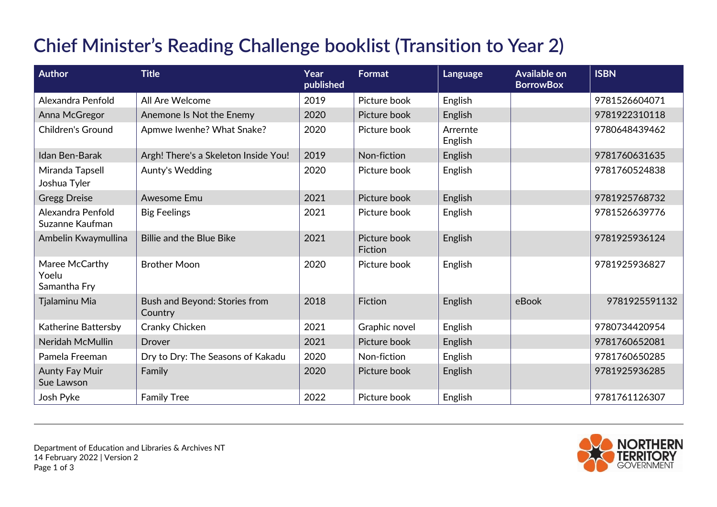## **Chief Minister's Reading Challenge booklist (Transition to Year 2)**

| <b>Author</b>                           | <b>Title</b>                             | Year<br>published | Format                  | Language            | <b>Available on</b><br><b>BorrowBox</b> | <b>ISBN</b>   |
|-----------------------------------------|------------------------------------------|-------------------|-------------------------|---------------------|-----------------------------------------|---------------|
| Alexandra Penfold                       | All Are Welcome                          | 2019              | Picture book            | English             |                                         | 9781526604071 |
| Anna McGregor                           | Anemone Is Not the Enemy                 | 2020              | Picture book            | English             |                                         | 9781922310118 |
| <b>Children's Ground</b>                | Apmwe Iwenhe? What Snake?                | 2020              | Picture book            | Arrernte<br>English |                                         | 9780648439462 |
| Idan Ben-Barak                          | Argh! There's a Skeleton Inside You!     | 2019              | Non-fiction             | English             |                                         | 9781760631635 |
| Miranda Tapsell<br>Joshua Tyler         | Aunty's Wedding                          | 2020              | Picture book            | English             |                                         | 9781760524838 |
| <b>Gregg Dreise</b>                     | Awesome Emu                              | 2021              | Picture book            | English             |                                         | 9781925768732 |
| Alexandra Penfold<br>Suzanne Kaufman    | <b>Big Feelings</b>                      | 2021              | Picture book            | English             |                                         | 9781526639776 |
| Ambelin Kwaymullina                     | Billie and the Blue Bike                 | 2021              | Picture book<br>Fiction | English             |                                         | 9781925936124 |
| Maree McCarthy<br>Yoelu<br>Samantha Fry | <b>Brother Moon</b>                      | 2020              | Picture book            | English             |                                         | 9781925936827 |
| Tjalaminu Mia                           | Bush and Beyond: Stories from<br>Country | 2018              | <b>Fiction</b>          | English             | eBook                                   | 9781925591132 |
| Katherine Battersby                     | Cranky Chicken                           | 2021              | Graphic novel           | English             |                                         | 9780734420954 |
| Neridah McMullin                        | Drover                                   | 2021              | Picture book            | English             |                                         | 9781760652081 |
| Pamela Freeman                          | Dry to Dry: The Seasons of Kakadu        | 2020              | Non-fiction             | English             |                                         | 9781760650285 |
| <b>Aunty Fay Muir</b><br>Sue Lawson     | Family                                   | 2020              | Picture book            | English             |                                         | 9781925936285 |
| Josh Pyke                               | <b>Family Tree</b>                       | 2022              | Picture book            | English             |                                         | 9781761126307 |

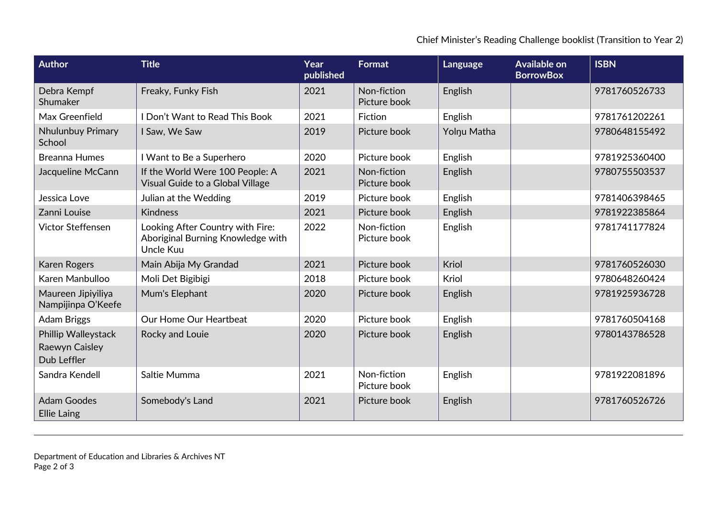Chief Minister's Reading Challenge booklist (Transition to Year 2)

| Author                                               | <b>Title</b>                                                                       | Year<br>published | <b>Format</b>               | Language    | <b>Available on</b><br><b>BorrowBox</b> | <b>ISBN</b>   |
|------------------------------------------------------|------------------------------------------------------------------------------------|-------------------|-----------------------------|-------------|-----------------------------------------|---------------|
| Debra Kempf<br>Shumaker                              | Freaky, Funky Fish                                                                 | 2021              | Non-fiction<br>Picture book | English     |                                         | 9781760526733 |
| Max Greenfield                                       | I Don't Want to Read This Book                                                     | 2021              | <b>Fiction</b>              | English     |                                         | 9781761202261 |
| Nhulunbuy Primary<br>School                          | I Saw, We Saw                                                                      | 2019              | Picture book                | Yolnu Matha |                                         | 9780648155492 |
| <b>Breanna Humes</b>                                 | I Want to Be a Superhero                                                           | 2020              | Picture book                | English     |                                         | 9781925360400 |
| Jacqueline McCann                                    | If the World Were 100 People: A<br>Visual Guide to a Global Village                | 2021              | Non-fiction<br>Picture book | English     |                                         | 9780755503537 |
| Jessica Love                                         | Julian at the Wedding                                                              | 2019              | Picture book                | English     |                                         | 9781406398465 |
| Zanni Louise                                         | <b>Kindness</b>                                                                    | 2021              | Picture book                | English     |                                         | 9781922385864 |
| Victor Steffensen                                    | Looking After Country with Fire:<br>Aboriginal Burning Knowledge with<br>Uncle Kuu | 2022              | Non-fiction<br>Picture book | English     |                                         | 9781741177824 |
| <b>Karen Rogers</b>                                  | Main Abija My Grandad                                                              | 2021              | Picture book                | Kriol       |                                         | 9781760526030 |
| Karen Manbulloo                                      | Moli Det Bigibigi                                                                  | 2018              | Picture book                | Kriol       |                                         | 9780648260424 |
| Maureen Jipiyiliya<br>Nampijinpa O'Keefe             | Mum's Elephant                                                                     | 2020              | Picture book                | English     |                                         | 9781925936728 |
| <b>Adam Briggs</b>                                   | Our Home Our Heartbeat                                                             | 2020              | Picture book                | English     |                                         | 9781760504168 |
| Phillip Walleystack<br>Raewyn Caisley<br>Dub Leffler | Rocky and Louie                                                                    | 2020              | Picture book                | English     |                                         | 9780143786528 |
| Sandra Kendell                                       | Saltie Mumma                                                                       | 2021              | Non-fiction<br>Picture book | English     |                                         | 9781922081896 |
| <b>Adam Goodes</b><br><b>Ellie Laing</b>             | Somebody's Land                                                                    | 2021              | Picture book                | English     |                                         | 9781760526726 |